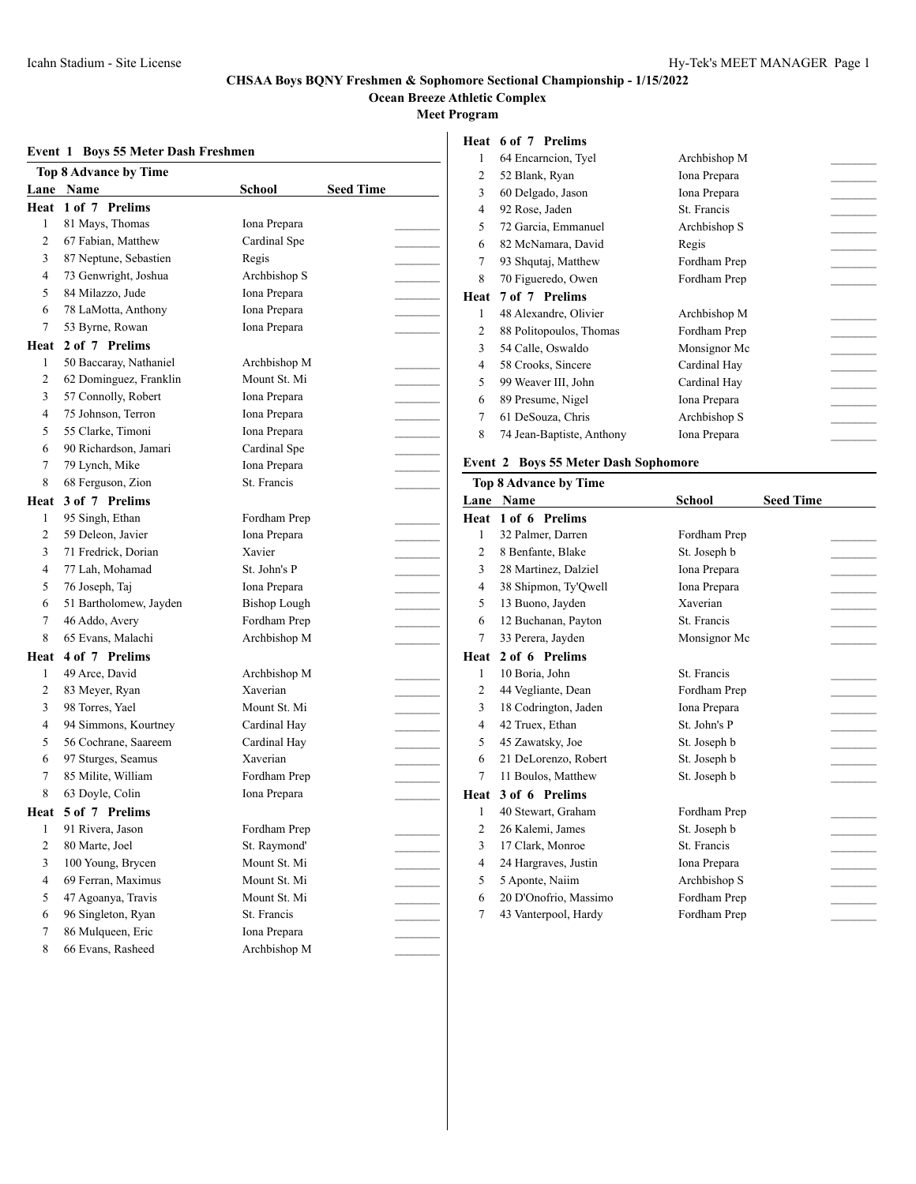**Ocean Breeze Athletic Complex**

**Meet Program**

## **Event 1 Boys 55 Meter Dash Freshmen**

|                | <b>Top 8 Advance by Time</b> |                     |                  |  |
|----------------|------------------------------|---------------------|------------------|--|
|                | Lane Name                    | School              | <b>Seed Time</b> |  |
| Heat           | 1 of 7 Prelims               |                     |                  |  |
| 1              | 81 Mays, Thomas              | Iona Prepara        |                  |  |
| 2              | 67 Fabian, Matthew           | Cardinal Spe        |                  |  |
| 3              | 87 Neptune, Sebastien        | Regis               |                  |  |
| 4              | 73 Genwright, Joshua         | Archbishop S        |                  |  |
| 5              | 84 Milazzo, Jude             | Iona Prepara        |                  |  |
| 6              | 78 LaMotta, Anthony          | Iona Prepara        |                  |  |
| 7              | 53 Byrne, Rowan              | Iona Prepara        |                  |  |
| Heat           | 2 of 7 Prelims               |                     |                  |  |
| 1              | 50 Baccaray, Nathaniel       | Archbishop M        |                  |  |
| 2              | 62 Dominguez, Franklin       | Mount St. Mi        |                  |  |
| 3              | 57 Connolly, Robert          | Iona Prepara        |                  |  |
| 4              | 75 Johnson, Terron           | Iona Prepara        |                  |  |
| 5              | 55 Clarke, Timoni            | Iona Prepara        |                  |  |
| 6              | 90 Richardson, Jamari        | Cardinal Spe        |                  |  |
| 7              | 79 Lynch, Mike               | Iona Prepara        |                  |  |
| 8              | 68 Ferguson, Zion            | St. Francis         |                  |  |
| Heat           | 3 of 7 Prelims               |                     |                  |  |
| 1              | 95 Singh, Ethan              | Fordham Prep        |                  |  |
| 2              | 59 Deleon, Javier            | Iona Prepara        |                  |  |
| 3              | 71 Fredrick, Dorian          | Xavier              |                  |  |
| 4              | 77 Lah, Mohamad              | St. John's P        |                  |  |
| 5              | 76 Joseph, Taj               | Iona Prepara        |                  |  |
| 6              | 51 Bartholomew, Jayden       | <b>Bishop Lough</b> |                  |  |
| 7              | 46 Addo, Avery               | Fordham Prep        |                  |  |
| 8              | 65 Evans, Malachi            | Archbishop M        |                  |  |
| Heat           | 4 of 7 Prelims               |                     |                  |  |
| 1              | 49 Arce, David               | Archbishop M        |                  |  |
| 2              | 83 Meyer, Ryan               | Xaverian            |                  |  |
| 3              | 98 Torres, Yael              | Mount St. Mi        |                  |  |
| 4              | 94 Simmons, Kourtney         | Cardinal Hay        |                  |  |
| 5              | 56 Cochrane, Saareem         | Cardinal Hav        |                  |  |
| 6              | 97 Sturges, Seamus           | Xaverian            |                  |  |
| 7              | 85 Milite, William           | Fordham Prep        |                  |  |
| 8              | 63 Doyle, Colin              | Iona Prepara        |                  |  |
|                | Heat 5 of 7 Prelims          |                     |                  |  |
| 1              | 91 Rivera, Jason             | Fordham Prep        |                  |  |
| $\mathfrak{2}$ | 80 Marte, Joel               | St. Raymond'        |                  |  |
| 3              | 100 Young, Brycen            | Mount St. Mi        |                  |  |
| 4              | 69 Ferran, Maximus           | Mount St. Mi        |                  |  |
| 5              | 47 Agoanya, Travis           | Mount St. Mi        |                  |  |
| 6              | 96 Singleton, Ryan           | St. Francis         |                  |  |
| 7              | 86 Mulqueen, Eric            | Iona Prepara        |                  |  |
| 8              | 66 Evans, Rasheed            | Archbishop M        |                  |  |

## **Heat 6 of 7 Prelims**

| 1    | 64 Encarncion, Tyel       | Archbishop M |  |
|------|---------------------------|--------------|--|
| 2    | 52 Blank, Ryan            | Iona Prepara |  |
| 3    | 60 Delgado, Jason         | Iona Prepara |  |
| 4    | 92 Rose, Jaden            | St. Francis  |  |
| 5    | 72 Garcia, Emmanuel       | Archbishop S |  |
| 6    | 82 McNamara, David        | Regis        |  |
| 7    | 93 Shqutaj, Matthew       | Fordham Prep |  |
| 8    | 70 Figueredo, Owen        | Fordham Prep |  |
| Heat | 7 of 7 Prelims            |              |  |
|      |                           |              |  |
| 1    | 48 Alexandre, Olivier     | Archbishop M |  |
| 2    | 88 Politopoulos, Thomas   | Fordham Prep |  |
| 3    | 54 Calle, Oswaldo         | Monsignor Mc |  |
| 4    | 58 Crooks, Sincere        | Cardinal Hav |  |
| 5    | 99 Weaver III, John       | Cardinal Hav |  |
| 6    | 89 Presume, Nigel         | Iona Prepara |  |
| 7    | 61 DeSouza, Chris         | Archbishop S |  |
| 8    | 74 Jean-Baptiste, Anthony | Iona Prepara |  |

### **Event 2 Boys 55 Meter Dash Sophomore**

|                | <b>Top 8 Advance by Time</b> |               |                  |  |  |  |
|----------------|------------------------------|---------------|------------------|--|--|--|
| Lane           | <b>Name</b>                  | <b>School</b> | <b>Seed Time</b> |  |  |  |
| Heat           | 1 of 6 Prelims               |               |                  |  |  |  |
| 1              | 32 Palmer, Darren            | Fordham Prep  |                  |  |  |  |
| $\overline{2}$ | 8 Benfante, Blake            | St. Joseph b  |                  |  |  |  |
| 3              | 28 Martinez, Dalziel         | Iona Prepara  |                  |  |  |  |
| 4              | 38 Shipmon, Ty'Qwell         | Iona Prepara  |                  |  |  |  |
| 5              | 13 Buono, Jayden             | Xaverian      |                  |  |  |  |
| 6              | 12 Buchanan, Payton          | St. Francis   |                  |  |  |  |
| 7              | 33 Perera, Jayden            | Monsignor Mc  |                  |  |  |  |
| Heat           | 2 of 6 Prelims               |               |                  |  |  |  |
| 1              | 10 Boria, John               | St. Francis   |                  |  |  |  |
| $\overline{c}$ | 44 Vegliante, Dean           | Fordham Prep  |                  |  |  |  |
| 3              | 18 Codrington, Jaden         | Iona Prepara  |                  |  |  |  |
| 4              | 42 Truex, Ethan              | St. John's P  |                  |  |  |  |
| 5              | 45 Zawatsky, Joe             | St. Joseph b  |                  |  |  |  |
| 6              | 21 DeLorenzo, Robert         | St. Joseph b  |                  |  |  |  |
| 7              | 11 Boulos, Matthew           | St. Joseph b  |                  |  |  |  |
| Heat           | 3 of 6 Prelims               |               |                  |  |  |  |
| 1              | 40 Stewart, Graham           | Fordham Prep  |                  |  |  |  |
| 2              | 26 Kalemi, James             | St. Joseph b  |                  |  |  |  |
| 3              | 17 Clark, Monroe             | St. Francis   |                  |  |  |  |
| 4              | 24 Hargraves, Justin         | Iona Prepara  |                  |  |  |  |
| 5              | 5 Aponte, Naiim              | Archbishop S  |                  |  |  |  |
| 6              | 20 D'Onofrio, Massimo        | Fordham Prep  |                  |  |  |  |
| 7              | 43 Vanterpool, Hardy         | Fordham Prep  |                  |  |  |  |
|                |                              |               |                  |  |  |  |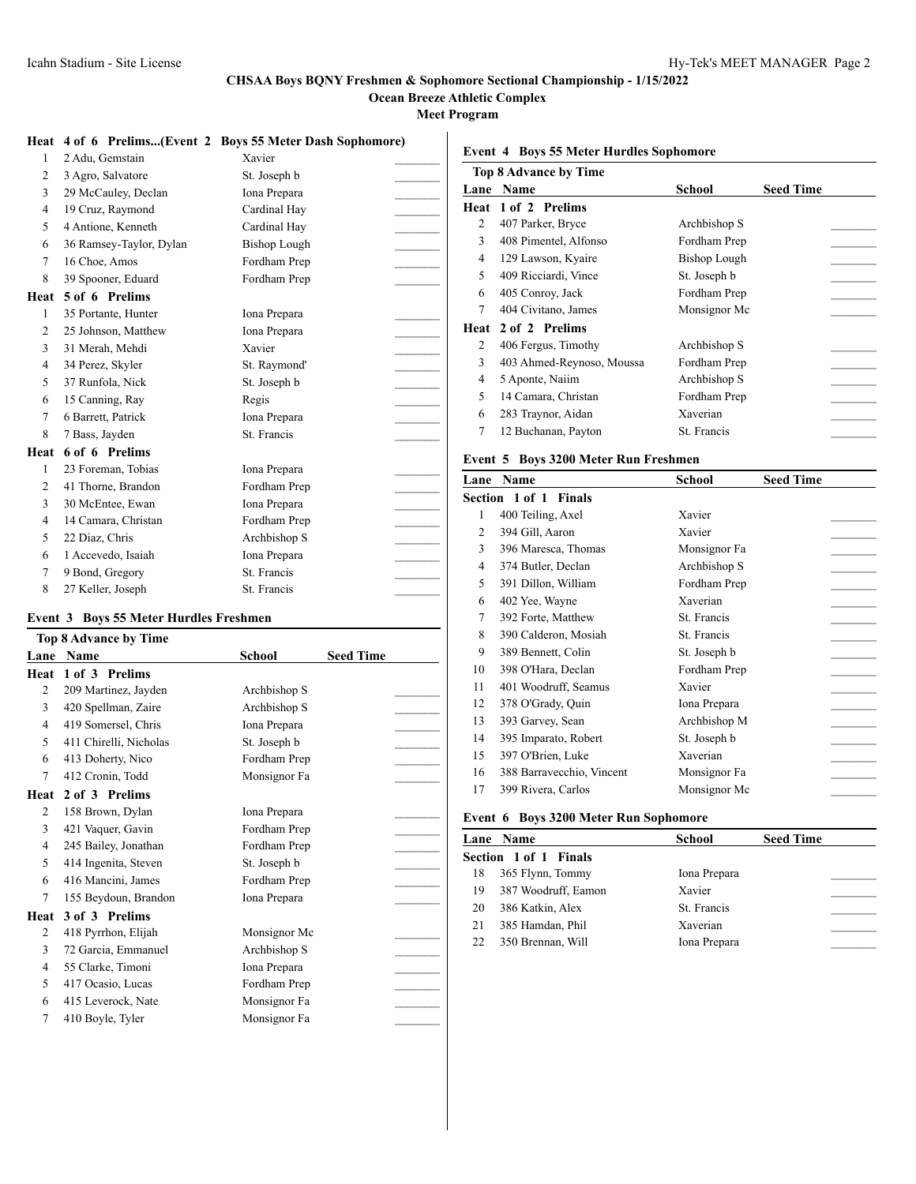**Ocean Breeze Athletic Complex**

**Meet Program**

 $\mathbf{I}$ 

|  | Heat 4 of 6 Prelims(Event 2 Boys 55 Meter Dash Sophomore) |  |  |
|--|-----------------------------------------------------------|--|--|
|  |                                                           |  |  |

| 1            | 2 Adu, Gemstain         | Xavier              |  |
|--------------|-------------------------|---------------------|--|
| 2            | 3 Agro, Salvatore       | St. Joseph b        |  |
| 3            | 29 McCauley, Declan     | Iona Prepara        |  |
| 4            | 19 Cruz, Raymond        | Cardinal Hay        |  |
| 5            | 4 Antione, Kenneth      | Cardinal Hay        |  |
| 6            | 36 Ramsey-Taylor, Dylan | <b>Bishop Lough</b> |  |
| 7            | 16 Choe, Amos           | Fordham Prep        |  |
| 8            | 39 Spooner, Eduard      | Fordham Prep        |  |
| Heat         | 5 of 6 Prelims          |                     |  |
| 1            | 35 Portante, Hunter     | Iona Prepara        |  |
| 2            | 25 Johnson, Matthew     | Iona Prepara        |  |
| 3            | 31 Merah, Mehdi         | Xavier              |  |
| 4            | 34 Perez, Skyler        | St. Raymond'        |  |
| 5            | 37 Runfola, Nick        | St. Joseph b        |  |
| 6            | 15 Canning, Ray         | Regis               |  |
| 7            | 6 Barrett, Patrick      | Iona Prepara        |  |
| 8            | 7 Bass, Jayden          | St. Francis         |  |
| Heat         | 6 of 6 Prelims          |                     |  |
| $\mathbf{1}$ | 23 Foreman, Tobias      | Iona Prepara        |  |
| 2            | 41 Thorne, Brandon      | Fordham Prep        |  |
| 3            | 30 McEntee, Ewan        | Iona Prepara        |  |
| 4            | 14 Camara, Christan     | Fordham Prep        |  |
| 5            | 22 Diaz, Chris          | Archbishop S        |  |
| 6            | 1 Accevedo, Isaiah      | Iona Prepara        |  |
| 7            | 9 Bond, Gregory         | St. Francis         |  |
| 8            | 27 Keller, Joseph       | St. Francis         |  |

#### **Event 3 Boys 55 Meter Hurdles Freshmen**

| <b>Top 8 Advance by Time</b> |                        |               |                  |  |  |
|------------------------------|------------------------|---------------|------------------|--|--|
| Lane                         | Name                   | <b>School</b> | <b>Seed Time</b> |  |  |
| Heat                         | 1 of 3 Prelims         |               |                  |  |  |
| 2                            | 209 Martinez, Jayden   | Archbishop S  |                  |  |  |
| 3                            | 420 Spellman, Zaire    | Archbishop S  |                  |  |  |
| $\overline{4}$               | 419 Somersel, Chris    | Iona Prepara  |                  |  |  |
| 5                            | 411 Chirelli, Nicholas | St. Joseph b  |                  |  |  |
| 6                            | 413 Doherty, Nico      | Fordham Prep  |                  |  |  |
| 7                            | 412 Cronin, Todd       | Monsignor Fa  |                  |  |  |
| Heat                         | 2 of 3 Prelims         |               |                  |  |  |
| 2                            | 158 Brown, Dylan       | Iona Prepara  |                  |  |  |
| 3                            | 421 Vaquer, Gavin      | Fordham Prep  |                  |  |  |
| $\overline{4}$               | 245 Bailey, Jonathan   | Fordham Prep  |                  |  |  |
| 5                            | 414 Ingenita, Steven   | St. Joseph b  |                  |  |  |
| 6                            | 416 Mancini, James     | Fordham Prep  |                  |  |  |
| 7                            | 155 Beydoun, Brandon   | Iona Prepara  |                  |  |  |
| Heat                         | 3 of 3 Prelims         |               |                  |  |  |
| 2                            | 418 Pyrrhon, Elijah    | Monsignor Mc  |                  |  |  |
| 3                            | 72 Garcia, Emmanuel    | Archbishop S  |                  |  |  |
| 4                            | 55 Clarke, Timoni      | Iona Prepara  |                  |  |  |
| 5                            | 417 Ocasio, Lucas      | Fordham Prep  |                  |  |  |
| 6                            | 415 Leverock, Nate     | Monsignor Fa  |                  |  |  |
| 7                            | 410 Boyle, Tyler       | Monsignor Fa  |                  |  |  |
|                              |                        |               |                  |  |  |

## **Event 4 Boys 55 Meter Hurdles Sophomore**

|      | <b>Top 8 Advance by Time</b> |                     |                  |  |  |  |  |
|------|------------------------------|---------------------|------------------|--|--|--|--|
|      | <b>Lane Name</b>             | School              | <b>Seed Time</b> |  |  |  |  |
|      | <b>Heat 1 of 2 Prelims</b>   |                     |                  |  |  |  |  |
| 2    | 407 Parker, Bryce            | Archbishop S        |                  |  |  |  |  |
| 3    | 408 Pimentel, Alfonso        | Fordham Prep        |                  |  |  |  |  |
| 4    | 129 Lawson, Kyaire           | <b>Bishop Lough</b> |                  |  |  |  |  |
| 5    | 409 Ricciardi, Vince         | St. Joseph b        |                  |  |  |  |  |
| 6    | 405 Conroy, Jack             | Fordham Prep        |                  |  |  |  |  |
| 7    | 404 Civitano, James          | Monsignor Mc        |                  |  |  |  |  |
| Heat | 2 of 2 Prelims               |                     |                  |  |  |  |  |
| 2    | 406 Fergus, Timothy          | Archbishop S        |                  |  |  |  |  |
| 3    | 403 Ahmed-Reynoso, Moussa    | Fordham Prep        |                  |  |  |  |  |
| 4    | 5 Aponte, Naiim              | Archbishop S        |                  |  |  |  |  |
| 5    | 14 Camara, Christan          | Fordham Prep        |                  |  |  |  |  |
| 6    | 283 Traynor, Aidan           | Xaverian            |                  |  |  |  |  |
| 7    | 12 Buchanan, Payton          | St. Francis         |                  |  |  |  |  |

### **Event 5 Boys 3200 Meter Run Freshmen**

| Lane | Name                      | School       | <b>Seed Time</b> |  |
|------|---------------------------|--------------|------------------|--|
|      | Section 1 of 1 Finals     |              |                  |  |
| 1    | 400 Teiling, Axel         | Xavier       |                  |  |
| 2    | 394 Gill, Aaron           | Xavier       |                  |  |
| 3    | 396 Maresca, Thomas       | Monsignor Fa |                  |  |
| 4    | 374 Butler, Declan        | Archbishop S |                  |  |
| 5    | 391 Dillon, William       | Fordham Prep |                  |  |
| 6    | 402 Yee, Wayne            | Xaverian     |                  |  |
| 7    | 392 Forte, Matthew        | St. Francis  |                  |  |
| 8    | 390 Calderon, Mosiah      | St. Francis  |                  |  |
| 9    | 389 Bennett, Colin        | St. Joseph b |                  |  |
| 10   | 398 O'Hara, Declan        | Fordham Prep |                  |  |
| 11   | 401 Woodruff, Seamus      | Xavier       |                  |  |
| 12   | 378 O'Grady, Quin         | Iona Prepara |                  |  |
| 13   | 393 Garvey, Sean          | Archbishop M |                  |  |
| 14   | 395 Imparato, Robert      | St. Joseph b |                  |  |
| 15   | 397 O'Brien, Luke         | Xaverian     |                  |  |
| 16   | 388 Barravecchio, Vincent | Monsignor Fa |                  |  |
| 17   | 399 Rivera, Carlos        | Monsignor Mc |                  |  |

#### **Event 6 Boys 3200 Meter Run Sophomore**

|    | Lane Name             | School       | <b>Seed Time</b> |
|----|-----------------------|--------------|------------------|
|    | Section 1 of 1 Finals |              |                  |
| 18 | 365 Flynn, Tommy      | Iona Prepara |                  |
| 19 | 387 Woodruff, Eamon   | Xavier       |                  |
| 20 | 386 Katkin, Alex      | St. Francis  |                  |
| 21 | 385 Hamdan, Phil      | Xaverian     |                  |
| 22 | 350 Brennan, Will     | Iona Prepara |                  |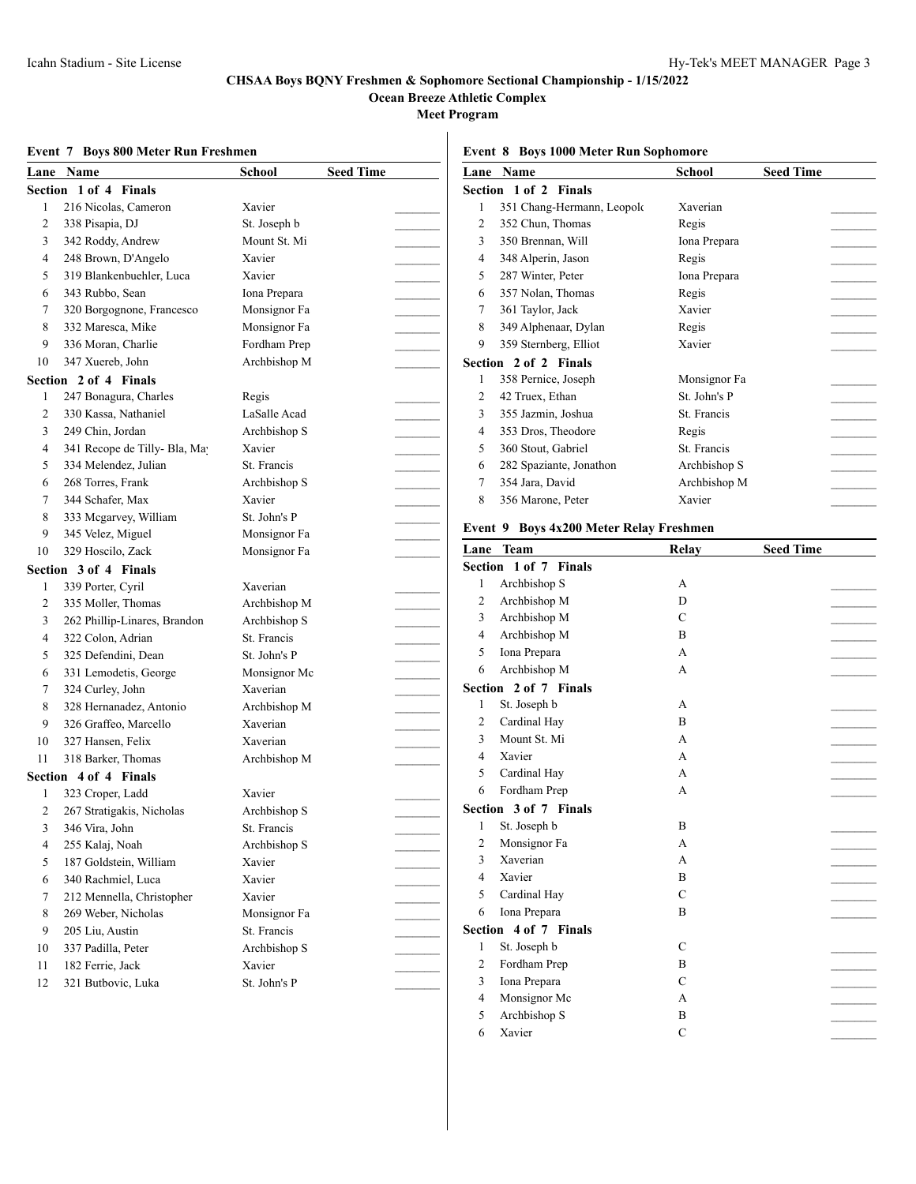**Ocean Breeze Athletic Complex**

**Meet Program**

### **Event 7 Boys 800 Meter Run Freshmen**

|  | Event 8 Boys 1000 Meter Run Sophomore |  |
|--|---------------------------------------|--|
|--|---------------------------------------|--|

|    | Lane Name                     | School                 | <b>Seed Time</b> |                | Lane Name                               | <b>School</b> | <b>Seed Time</b>                                                                                                                                                                                                                                                                                                                                                                                                                                                           |
|----|-------------------------------|------------------------|------------------|----------------|-----------------------------------------|---------------|----------------------------------------------------------------------------------------------------------------------------------------------------------------------------------------------------------------------------------------------------------------------------------------------------------------------------------------------------------------------------------------------------------------------------------------------------------------------------|
|    | Section 1 of 4 Finals         |                        |                  |                | Section 1 of 2 Finals                   |               |                                                                                                                                                                                                                                                                                                                                                                                                                                                                            |
| 1  | 216 Nicolas, Cameron          | Xavier                 |                  | 1              | 351 Chang-Hermann, Leopold              | Xaverian      |                                                                                                                                                                                                                                                                                                                                                                                                                                                                            |
| 2  | 338 Pisapia, DJ               | St. Joseph b           |                  | $\overline{2}$ | 352 Chun, Thomas                        | Regis         |                                                                                                                                                                                                                                                                                                                                                                                                                                                                            |
| 3  | 342 Roddy, Andrew             | Mount St. Mi           |                  | 3              | 350 Brennan, Will                       | Iona Prepara  |                                                                                                                                                                                                                                                                                                                                                                                                                                                                            |
| 4  | 248 Brown, D'Angelo           | Xavier                 |                  | 4              | 348 Alperin, Jason                      | Regis         | $\sim$                                                                                                                                                                                                                                                                                                                                                                                                                                                                     |
| 5  | 319 Blankenbuehler, Luca      | Xavier                 |                  | 5              | 287 Winter, Peter                       | Iona Prepara  |                                                                                                                                                                                                                                                                                                                                                                                                                                                                            |
| 6  | 343 Rubbo, Sean               | Iona Prepara           |                  | 6              | 357 Nolan, Thomas                       | Regis         | $\overline{a}$                                                                                                                                                                                                                                                                                                                                                                                                                                                             |
| 7  | 320 Borgognone, Francesco     | Monsignor Fa           |                  | 7              | 361 Taylor, Jack                        | Xavier        | $\frac{1}{2} \left( \frac{1}{2} \right) \left( \frac{1}{2} \right) \left( \frac{1}{2} \right) \left( \frac{1}{2} \right) \left( \frac{1}{2} \right) \left( \frac{1}{2} \right) \left( \frac{1}{2} \right) \left( \frac{1}{2} \right) \left( \frac{1}{2} \right) \left( \frac{1}{2} \right) \left( \frac{1}{2} \right) \left( \frac{1}{2} \right) \left( \frac{1}{2} \right) \left( \frac{1}{2} \right) \left( \frac{1}{2} \right) \left( \frac{1}{2} \right) \left( \frac$ |
| 8  | 332 Maresca, Mike             | Monsignor Fa           |                  | 8              | 349 Alphenaar, Dylan                    | Regis         |                                                                                                                                                                                                                                                                                                                                                                                                                                                                            |
| 9  | 336 Moran, Charlie            | Fordham Prep           |                  | 9              | 359 Sternberg, Elliot                   | Xavier        |                                                                                                                                                                                                                                                                                                                                                                                                                                                                            |
| 10 | 347 Xuereb, John              | Archbishop M           |                  |                | Section 2 of 2 Finals                   |               |                                                                                                                                                                                                                                                                                                                                                                                                                                                                            |
|    | Section 2 of 4 Finals         |                        |                  | 1              | 358 Pernice, Joseph                     | Monsignor Fa  |                                                                                                                                                                                                                                                                                                                                                                                                                                                                            |
| -1 | 247 Bonagura, Charles         | Regis                  |                  | $\overline{c}$ | 42 Truex, Ethan                         | St. John's P  |                                                                                                                                                                                                                                                                                                                                                                                                                                                                            |
| 2  | 330 Kassa, Nathaniel          | LaSalle Acad           |                  | 3              | 355 Jazmin, Joshua                      | St. Francis   |                                                                                                                                                                                                                                                                                                                                                                                                                                                                            |
| 3  | 249 Chin, Jordan              | Archbishop S           |                  | 4              | 353 Dros, Theodore                      | Regis         |                                                                                                                                                                                                                                                                                                                                                                                                                                                                            |
| 4  | 341 Recope de Tilly- Bla, May | Xavier                 |                  | 5              | 360 Stout, Gabriel                      | St. Francis   |                                                                                                                                                                                                                                                                                                                                                                                                                                                                            |
| 5  | 334 Melendez, Julian          | St. Francis            |                  | 6              | 282 Spaziante, Jonathon                 | Archbishop S  | $\mathcal{L}$                                                                                                                                                                                                                                                                                                                                                                                                                                                              |
| 6  | 268 Torres, Frank             | Archbishop S           |                  | 7              | 354 Jara, David                         | Archbishop M  |                                                                                                                                                                                                                                                                                                                                                                                                                                                                            |
| 7  | 344 Schafer, Max              | Xavier                 |                  | 8              | 356 Marone, Peter                       | Xavier        |                                                                                                                                                                                                                                                                                                                                                                                                                                                                            |
| 8  | 333 Mcgarvey, William         | St. John's P           |                  |                |                                         |               |                                                                                                                                                                                                                                                                                                                                                                                                                                                                            |
| 9  | 345 Velez, Miguel             | Monsignor Fa           |                  |                | Event 9 Boys 4x200 Meter Relay Freshmen |               |                                                                                                                                                                                                                                                                                                                                                                                                                                                                            |
| 10 | 329 Hoscilo, Zack             | Monsignor Fa           |                  |                | Lane Team                               | Relay         | <b>Seed Time</b>                                                                                                                                                                                                                                                                                                                                                                                                                                                           |
|    | Section 3 of 4 Finals         |                        |                  |                | Section 1 of 7 Finals                   |               |                                                                                                                                                                                                                                                                                                                                                                                                                                                                            |
| -1 | 339 Porter, Cyril             | Xaverian               |                  | 1              | Archbishop S                            | A             |                                                                                                                                                                                                                                                                                                                                                                                                                                                                            |
| 2  | 335 Moller, Thomas            | Archbishop M           |                  | $\overline{c}$ | Archbishop M                            | D             |                                                                                                                                                                                                                                                                                                                                                                                                                                                                            |
| 3  | 262 Phillip-Linares, Brandon  | Archbishop S           |                  | 3              | Archbishop M                            | $\mathbf C$   | $\mathcal{L}$                                                                                                                                                                                                                                                                                                                                                                                                                                                              |
| 4  | 322 Colon, Adrian             | St. Francis            |                  | 4              | Archbishop M                            | B             | <u> Liberatura de la pro</u>                                                                                                                                                                                                                                                                                                                                                                                                                                               |
| 5  | 325 Defendini, Dean           | St. John's P           |                  | 5              | Iona Prepara                            | А             |                                                                                                                                                                                                                                                                                                                                                                                                                                                                            |
| 6  | 331 Lemodetis, George         | Monsignor Mc           |                  | 6              | Archbishop M                            | А             |                                                                                                                                                                                                                                                                                                                                                                                                                                                                            |
| 7  | 324 Curley, John              | Xaverian               |                  |                | Section 2 of 7 Finals                   |               |                                                                                                                                                                                                                                                                                                                                                                                                                                                                            |
| 8  | 328 Hernanadez, Antonio       | Archbishop M           |                  | 1              | St. Joseph b                            | А             |                                                                                                                                                                                                                                                                                                                                                                                                                                                                            |
| 9  | 326 Graffeo, Marcello         | Xaverian               |                  | $\overline{c}$ | Cardinal Hay                            | B             |                                                                                                                                                                                                                                                                                                                                                                                                                                                                            |
| 10 | 327 Hansen, Felix             | Xaverian               |                  | 3              | Mount St. Mi                            | А             | $\overline{\phantom{a}}$                                                                                                                                                                                                                                                                                                                                                                                                                                                   |
| 11 | 318 Barker, Thomas            | Archbishop M           |                  | 4              | Xavier                                  | А             |                                                                                                                                                                                                                                                                                                                                                                                                                                                                            |
|    | Section 4 of 4 Finals         |                        |                  | 5              | Cardinal Hay                            | A             |                                                                                                                                                                                                                                                                                                                                                                                                                                                                            |
| -1 | 323 Croper, Ladd              | Xavier                 |                  | 6              | Fordham Prep                            | А             |                                                                                                                                                                                                                                                                                                                                                                                                                                                                            |
| 2  | 267 Stratigakis, Nicholas     | Archbishop S           |                  |                | Section 3 of 7 Finals                   |               |                                                                                                                                                                                                                                                                                                                                                                                                                                                                            |
| 3  | 346 Vira, John                | St. Francis            |                  |                | St. Joseph b                            | B             |                                                                                                                                                                                                                                                                                                                                                                                                                                                                            |
| 4  | 255 Kalaj, Noah               | Archbishop S           |                  | $\overline{c}$ | Monsignor Fa                            | A             |                                                                                                                                                                                                                                                                                                                                                                                                                                                                            |
| 5  | 187 Goldstein, William        | Xavier                 |                  | 3              | Xaverian                                | А             |                                                                                                                                                                                                                                                                                                                                                                                                                                                                            |
| 6  | 340 Rachmiel, Luca            | Xavier                 |                  | 4              | Xavier                                  | B             |                                                                                                                                                                                                                                                                                                                                                                                                                                                                            |
| 7  | 212 Mennella, Christopher     | Xavier                 |                  | 5              | Cardinal Hay                            | C             |                                                                                                                                                                                                                                                                                                                                                                                                                                                                            |
| 8  | 269 Weber, Nicholas           | Monsignor Fa           |                  | 6              | Iona Prepara                            | B             |                                                                                                                                                                                                                                                                                                                                                                                                                                                                            |
| 9  | 205 Liu, Austin               | St. Francis            |                  |                | Section 4 of 7 Finals                   |               |                                                                                                                                                                                                                                                                                                                                                                                                                                                                            |
|    |                               |                        |                  | 1              | St. Joseph b                            | C             |                                                                                                                                                                                                                                                                                                                                                                                                                                                                            |
| 10 | 337 Padilla, Peter            | Archbishop S<br>Xavier |                  | $\overline{2}$ | Fordham Prep                            | B             |                                                                                                                                                                                                                                                                                                                                                                                                                                                                            |
| 11 | 182 Ferrie, Jack              |                        |                  | 3              | Iona Prepara                            | C             |                                                                                                                                                                                                                                                                                                                                                                                                                                                                            |
| 12 | 321 Butbovic, Luka            | St. John's P           |                  |                | Monsignor Mc                            |               |                                                                                                                                                                                                                                                                                                                                                                                                                                                                            |
|    |                               |                        |                  | 4<br>5         | Archbishop S                            | А<br>B        |                                                                                                                                                                                                                                                                                                                                                                                                                                                                            |
|    |                               |                        |                  |                |                                         | C             |                                                                                                                                                                                                                                                                                                                                                                                                                                                                            |
|    |                               |                        |                  | 6              | Xavier                                  |               |                                                                                                                                                                                                                                                                                                                                                                                                                                                                            |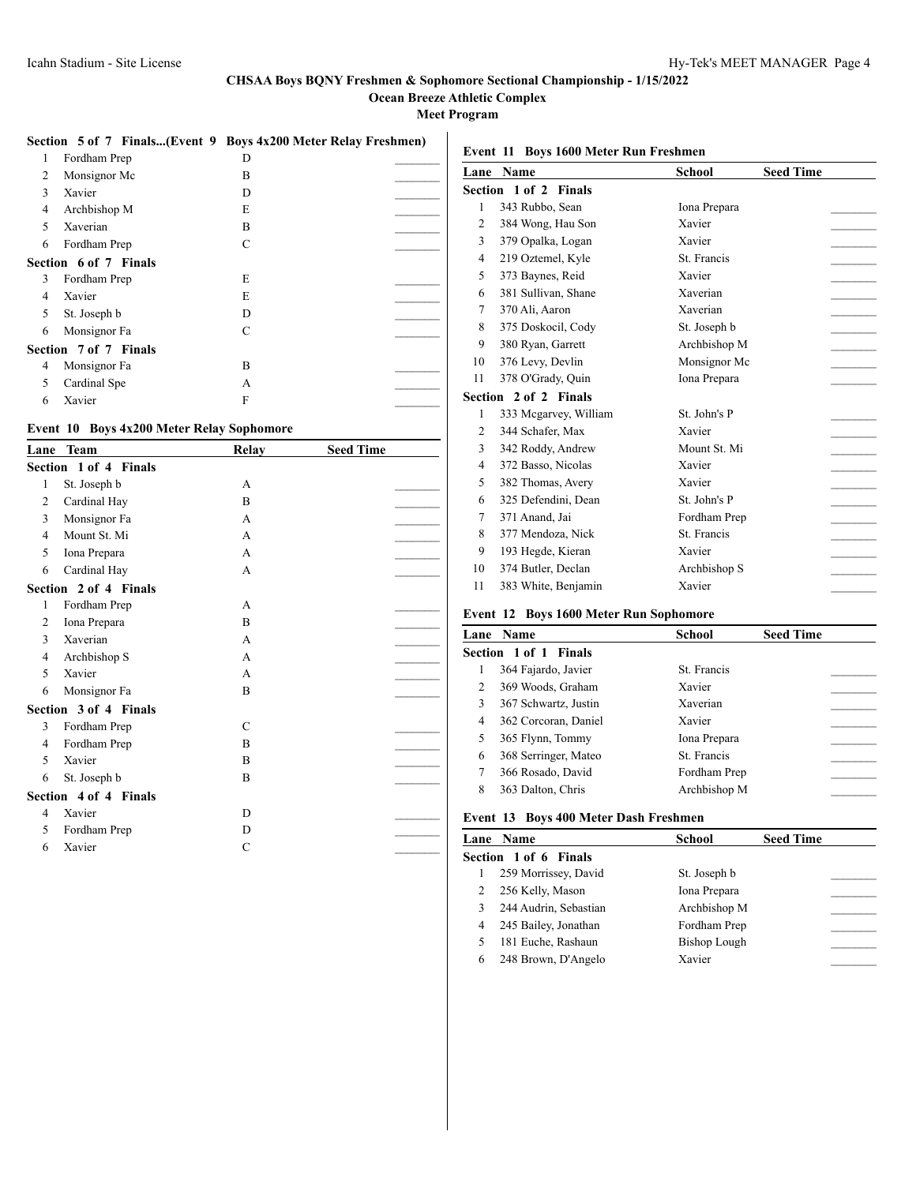**Ocean Breeze Athletic Complex**

**Meet Program**

|  | Section 5 of 7 Finals(Event 9 Boys 4x200 Meter Relay Freshmen) |  |
|--|----------------------------------------------------------------|--|
|  |                                                                |  |

|   |                       | $\cdot$ | , |
|---|-----------------------|---------|---|
| 1 | Fordham Prep          | D       |   |
| 2 | Monsignor Mc          | B       |   |
| 3 | Xavier                | D       |   |
| 4 | Archbishop M          | E       |   |
| 5 | Xaverian              | B       |   |
| 6 | Fordham Prep          | C       |   |
|   | Section 6 of 7 Finals |         |   |
| 3 | Fordham Prep          | E       |   |
| 4 | Xavier                | E       |   |
| 5 | St. Joseph b          | D       |   |
| 6 | Monsignor Fa          | C       |   |
|   | Section 7 of 7 Finals |         |   |
| 4 | Monsignor Fa          | B       |   |
| 5 | Cardinal Spe          | А       |   |
| 6 | Xavier                | F       |   |

## **Event 10 Boys 4x200 Meter Relay Sophomore**

| Lane           | <b>Team</b>           | <b>Relay</b> | <b>Seed Time</b> |
|----------------|-----------------------|--------------|------------------|
|                | Section 1 of 4 Finals |              |                  |
| 1              | St. Joseph b          | A            |                  |
| 2              | Cardinal Hay          | B            |                  |
| 3              | Monsignor Fa          | $\mathsf{A}$ |                  |
| 4              | Mount St. Mi          | $\mathsf{A}$ |                  |
| 5              | Iona Prepara          | $\mathsf{A}$ |                  |
| 6              | Cardinal Hay          | $\mathsf{A}$ |                  |
|                | Section 2 of 4 Finals |              |                  |
| 1              | Fordham Prep          | A            |                  |
| $\overline{2}$ | Iona Prepara          | B            |                  |
| 3              | Xaverian              | $\mathsf{A}$ |                  |
| 4              | Archbishop S          | A            |                  |
| 5              | Xavier                | $\mathsf{A}$ |                  |
| 6              | Monsignor Fa          | B            |                  |
|                | Section 3 of 4 Finals |              |                  |
| 3              | Fordham Prep          | C            |                  |
| 4              | Fordham Prep          | B            |                  |
| 5              | Xavier                | B            |                  |
| 6              | St. Joseph b          | B            |                  |
|                | Section 4 of 4 Finals |              |                  |
| 4              | Xavier                | D            |                  |
| 5              | Fordham Prep          | D            |                  |
| 6              | Xavier                | C            |                  |
|                |                       |              |                  |

|                | Lane Name             | School       | <b>Seed Time</b> |
|----------------|-----------------------|--------------|------------------|
|                | Section 1 of 2 Finals |              |                  |
| $\mathbf{1}$   | 343 Rubbo, Sean       | Iona Prepara |                  |
| $\overline{c}$ | 384 Wong, Hau Son     | Xavier       |                  |
| 3              | 379 Opalka, Logan     | Xavier       |                  |
| 4              | 219 Oztemel, Kyle     | St. Francis  |                  |
| 5              | 373 Baynes, Reid      | Xavier       |                  |
| 6              | 381 Sullivan, Shane   | Xaverian     |                  |
| 7              | 370 Ali, Aaron        | Xaverian     |                  |
| 8              | 375 Doskocil, Cody    | St. Joseph b |                  |
| 9              | 380 Ryan, Garrett     | Archbishop M |                  |
| 10             | 376 Levy, Devlin      | Monsignor Mc |                  |
| 11             | 378 O'Grady, Ouin     | Iona Prepara |                  |
|                | Section 2 of 2 Finals |              |                  |
| 1              | 333 Mcgarvey, William | St. John's P |                  |
| $\overline{c}$ | 344 Schafer, Max      | Xavier       |                  |
| 3              | 342 Roddy, Andrew     | Mount St. Mi |                  |
| 4              | 372 Basso, Nicolas    | Xavier       |                  |
| 5              | 382 Thomas, Avery     | Xavier       |                  |
| 6              | 325 Defendini. Dean   | St. John's P |                  |
| 7              | 371 Anand, Jai        | Fordham Prep |                  |
| 8              | 377 Mendoza, Nick     | St. Francis  |                  |
| 9              | 193 Hegde, Kieran     | Xavier       |                  |
| 10             | 374 Butler, Declan    | Archbishop S |                  |
| 11             | 383 White, Benjamin   | Xavier       |                  |
|                |                       |              |                  |

## **Event 12 Boys 1600 Meter Run Sophomore**

|   | Lane Name             | School       | <b>Seed Time</b> |
|---|-----------------------|--------------|------------------|
|   | Section 1 of 1 Finals |              |                  |
|   | 364 Fajardo, Javier   | St. Francis  |                  |
| 2 | 369 Woods, Graham     | Xavier       |                  |
| 3 | 367 Schwartz, Justin  | Xaverian     |                  |
| 4 | 362 Corcoran, Daniel  | Xavier       |                  |
| 5 | 365 Flynn, Tommy      | Iona Prepara |                  |
| 6 | 368 Serringer, Mateo  | St. Francis  |                  |
| 7 | 366 Rosado, David     | Fordham Prep |                  |
| 8 | 363 Dalton, Chris     | Archbishop M |                  |

### **Event 13 Boys 400 Meter Dash Freshmen**

|                       | Lane Name             | <b>School</b> | <b>Seed Time</b> |
|-----------------------|-----------------------|---------------|------------------|
| Section 1 of 6 Finals |                       |               |                  |
|                       | 259 Morrissey, David  | St. Joseph b  |                  |
| 2                     | 256 Kelly, Mason      | Iona Prepara  |                  |
|                       | 244 Audrin, Sebastian | Archbishop M  |                  |
| 4                     | 245 Bailey, Jonathan  | Fordham Prep  |                  |
| 5                     | 181 Euche, Rashaun    | Bishop Lough  |                  |
| 6                     | 248 Brown, D'Angelo   | Xavier        |                  |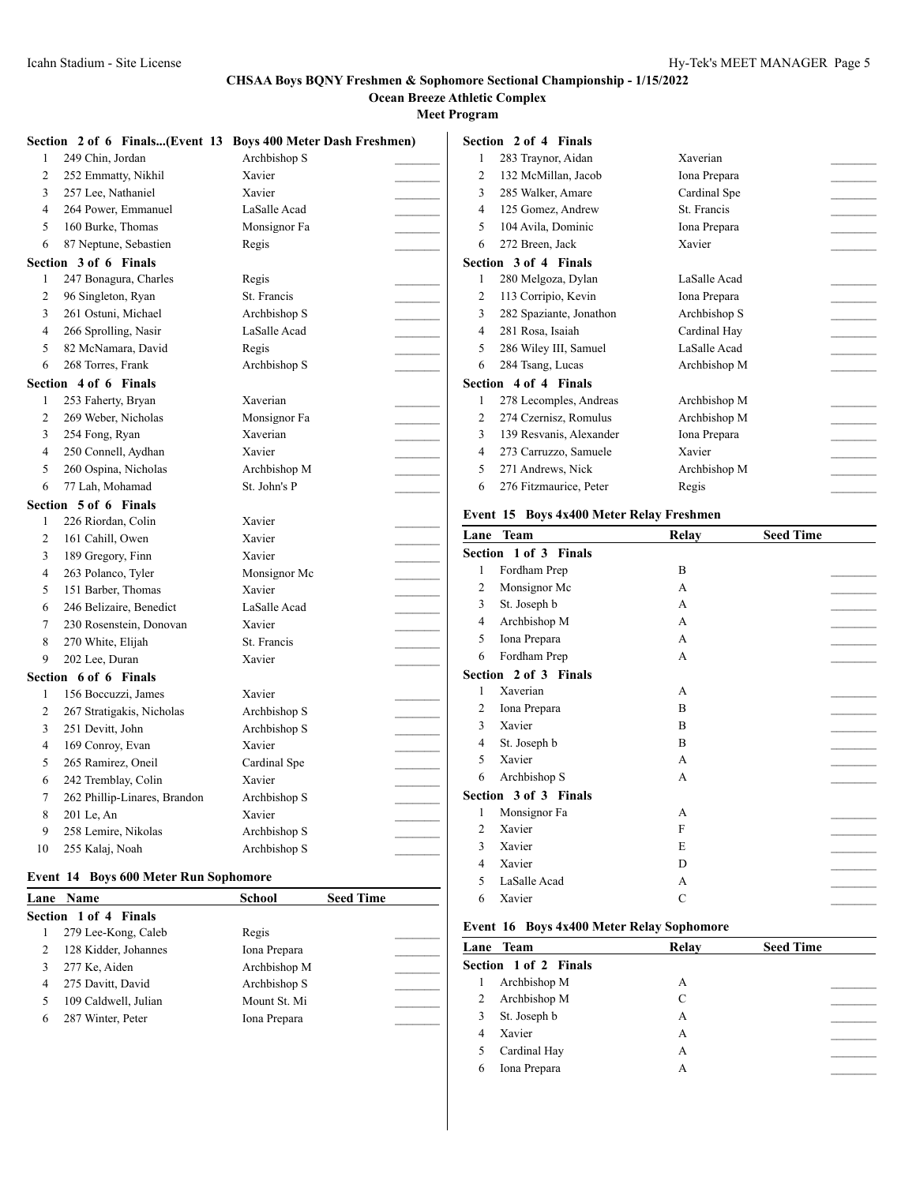**Ocean Breeze Athletic Complex**

**Meet Program**

|                         |                              | Section 2 of 6 Finals(Event 13 Boys 400 Meter Dash Freshmen) |
|-------------------------|------------------------------|--------------------------------------------------------------|
| 1                       | 249 Chin, Jordan             | Archbishop S                                                 |
| $\overline{2}$          | 252 Emmatty, Nikhil          | Xavier                                                       |
| 3                       | 257 Lee, Nathaniel           | Xavier                                                       |
| $\overline{\mathbf{4}}$ | 264 Power, Emmanuel          | LaSalle Acad                                                 |
| 5                       | 160 Burke, Thomas            | Monsignor Fa                                                 |
| 6                       | 87 Neptune, Sebastien        | Regis                                                        |
|                         | Section 3 of 6 Finals        |                                                              |
| $\mathbf{1}$            | 247 Bonagura, Charles        | Regis                                                        |
| 2                       | 96 Singleton, Ryan           | St. Francis                                                  |
| 3                       | 261 Ostuni, Michael          | Archbishop S                                                 |
| $\overline{4}$          | 266 Sprolling, Nasir         | LaSalle Acad                                                 |
| 5                       | 82 McNamara, David           | Regis                                                        |
| 6                       | 268 Torres, Frank            | Archbishop S                                                 |
|                         | Section 4 of 6 Finals        |                                                              |
| 1                       | 253 Faherty, Bryan           | Xaverian                                                     |
| $\overline{c}$          | 269 Weber, Nicholas          | Monsignor Fa                                                 |
| 3                       | 254 Fong, Ryan               | Xaverian                                                     |
| 4                       | 250 Connell, Aydhan          | Xavier                                                       |
| 5                       | 260 Ospina, Nicholas         | Archbishop M                                                 |
| 6                       | 77 Lah, Mohamad              | St. John's P                                                 |
|                         | Section 5 of 6 Finals        |                                                              |
| $\mathbf{1}$            | 226 Riordan, Colin           | Xavier                                                       |
| $\overline{c}$          | 161 Cahill, Owen             | Xavier                                                       |
| 3                       | 189 Gregory, Finn            | Xavier                                                       |
| 4                       | 263 Polanco, Tyler           | Monsignor Mc                                                 |
| 5                       | 151 Barber, Thomas           | Xavier                                                       |
| 6                       | 246 Belizaire, Benedict      | LaSalle Acad                                                 |
| 7                       | 230 Rosenstein, Donovan      | Xavier                                                       |
| 8                       | 270 White, Elijah            | St. Francis                                                  |
| 9                       | 202 Lee, Duran               | Xavier                                                       |
|                         | Section 6 of 6 Finals        |                                                              |
| $\mathbf{1}$            | 156 Boccuzzi, James          | Xavier                                                       |
| 2                       | 267 Stratigakis, Nicholas    | Archbishop S                                                 |
| 3                       | 251 Devitt, John             | Archbishop S                                                 |
| $\overline{4}$          | 169 Conroy, Evan             | Xavier                                                       |
| 5                       | 265 Ramirez, Oneil           | Cardinal Spe                                                 |
| 6                       | 242 Tremblay, Colin          | Xavier                                                       |
| 7                       | 262 Phillip-Linares, Brandon | Archbishop S                                                 |
| 8                       | 201 Le, An                   | Xavier                                                       |
| 9                       | 258 Lemire, Nikolas          | Archbishop S                                                 |
| 10                      | 255 Kalaj, Noah              | Archbishop S                                                 |

#### **Event 14 Boys 600 Meter Run Sophomore**

|   | <b>Lane Name</b>      | <b>School</b> | <b>Seed Time</b> |
|---|-----------------------|---------------|------------------|
|   | Section 1 of 4 Finals |               |                  |
|   | 279 Lee-Kong, Caleb   | Regis         |                  |
|   | 128 Kidder, Johannes  | Iona Prepara  |                  |
|   | 277 Ke, Aiden         | Archbishop M  |                  |
|   | 275 Davitt, David     | Archbishop S  |                  |
|   | 109 Caldwell, Julian  | Mount St. Mi  |                  |
| 6 | 287 Winter, Peter     | Iona Prepara  |                  |
|   |                       |               |                  |

|   | Section 2 of 4 Finals   |              |  |
|---|-------------------------|--------------|--|
| 1 | 283 Traynor, Aidan      | Xaverian     |  |
| 2 | 132 McMillan, Jacob     | Iona Prepara |  |
| 3 | 285 Walker, Amare       | Cardinal Spe |  |
| 4 | 125 Gomez, Andrew       | St. Francis  |  |
| 5 | 104 Avila, Dominic      | Iona Prepara |  |
| 6 | 272 Breen, Jack         | Xavier       |  |
|   | Section 3 of 4 Finals   |              |  |
| 1 | 280 Melgoza, Dylan      | LaSalle Acad |  |
| 2 | 113 Corripio, Kevin     | Iona Prepara |  |
| 3 | 282 Spaziante, Jonathon | Archbishop S |  |
| 4 | 281 Rosa, Isaiah        | Cardinal Hay |  |
| 5 | 286 Wiley III, Samuel   | LaSalle Acad |  |
| 6 | 284 Tsang, Lucas        | Archbishop M |  |
|   | Section 4 of 4 Finals   |              |  |
| 1 | 278 Lecomples, Andreas  | Archbishop M |  |
| 2 | 274 Czernisz, Romulus   | Archbishop M |  |
| 3 | 139 Resvanis, Alexander | Iona Prepara |  |
| 4 | 273 Carruzzo, Samuele   | Xavier       |  |
| 5 | 271 Andrews, Nick       | Archbishop M |  |
| 6 | 276 Fitzmaurice, Peter  | Regis        |  |
|   |                         |              |  |

#### **Event 15 Boys 4x400 Meter Relay Freshmen**

| Lane           | <b>Team</b>           | Relay | <b>Seed Time</b> |
|----------------|-----------------------|-------|------------------|
|                | Section 1 of 3 Finals |       |                  |
| 1              | Fordham Prep          | B     |                  |
| 2              | Monsignor Mc          | A     |                  |
| 3              | St. Joseph b          | A     |                  |
| 4              | Archbishop M          | A     |                  |
| 5              | Iona Prepara          | A     |                  |
| 6              | Fordham Prep          | A     |                  |
|                | Section 2 of 3 Finals |       |                  |
| 1              | Xaverian              | A     |                  |
| 2              | Iona Prepara          | B     |                  |
| 3              | Xavier                | B     |                  |
| 4              | St. Joseph b          | B     |                  |
| 5              | Xavier                | A     |                  |
| 6              | Archbishop S          | A     |                  |
|                | Section 3 of 3 Finals |       |                  |
| 1              | Monsignor Fa          | A     |                  |
| $\overline{2}$ | Xavier                | F     |                  |
| 3              | Xavier                | E     |                  |
| 4              | Xavier                | D     |                  |
| 5              | LaSalle Acad          | A     |                  |
| 6              | Xavier                | C     |                  |

#### **Event 16 Boys 4x400 Meter Relay Sophomore**

| Lane Team             | Relay | <b>Seed Time</b> |
|-----------------------|-------|------------------|
| Section 1 of 2 Finals |       |                  |
| Archbishop M<br>1     | A     |                  |
| Archbishop M<br>2     | C     |                  |
| St. Joseph b<br>3     | А     |                  |
| Xavier<br>4           | А     |                  |
| Cardinal Hay<br>5     | A     |                  |
| Iona Prepara<br>6     | А     |                  |
|                       |       |                  |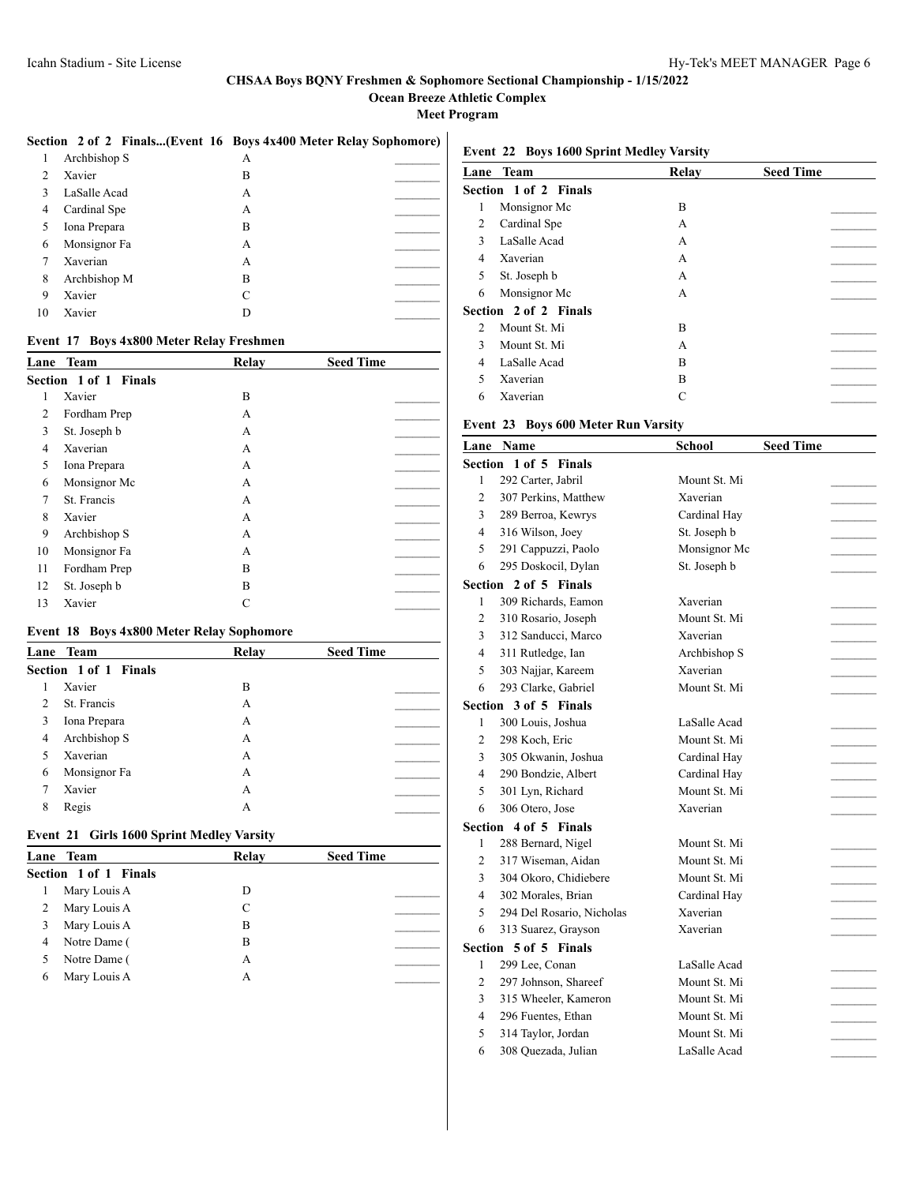**Ocean Breeze Athletic Complex**

**Meet Program**

#### **Section 2 of 2 Finals...(Event 16 Boys 4x400 Meter Relay Sophomore)**

|                | Archbishop S | А |  |
|----------------|--------------|---|--|
| $\overline{c}$ | Xavier       | B |  |
| 3              | LaSalle Acad | A |  |
| 4              | Cardinal Spe | А |  |
| 5              | Iona Prepara | B |  |
| 6              | Monsignor Fa | A |  |
| 7              | Xaverian     | А |  |
| 8              | Archbishop M | B |  |
| 9              | Xavier       | C |  |
| 10             | Xavier       | D |  |
|                |              |   |  |

### **Event 17 Boys 4x800 Meter Relay Freshmen**

| Lane | <b>Team</b>           | Relay | <b>Seed Time</b> |
|------|-----------------------|-------|------------------|
|      | Section 1 of 1 Finals |       |                  |
| 1    | Xavier                | B     |                  |
| 2    | Fordham Prep          | A     |                  |
| 3    | St. Joseph b          | A     |                  |
| 4    | Xaverian              | A     |                  |
| 5    | Iona Prepara          | A     |                  |
| 6    | Monsignor Mc          | A     |                  |
| 7    | St. Francis           | A     |                  |
| 8    | Xavier                | A     |                  |
| 9    | Archbishop S          | A     |                  |
| 10   | Monsignor Fa          | A     |                  |
| 11   | Fordham Prep          | B     |                  |
| 12   | St. Joseph b          | B     |                  |
| 13   | Xavier                |       |                  |

#### **Event 18 Boys 4x800 Meter Relay Sophomore**

|                               | Lane Team             | Relay | <b>Seed Time</b> |
|-------------------------------|-----------------------|-------|------------------|
|                               | Section 1 of 1 Finals |       |                  |
|                               | Xavier                | B     |                  |
| $\mathfrak{D}_{\mathfrak{p}}$ | St. Francis           | А     |                  |
| 3                             | Iona Prepara          | А     |                  |
| 4                             | Archbishop S          | А     |                  |
|                               | Xaverian              | А     |                  |
| 6                             | Monsignor Fa          | А     |                  |
|                               | Xavier                | А     |                  |
| 8                             | Regis                 | А     |                  |

#### **Event 21 Girls 1600 Sprint Medley Varsity**

|   | Lane Team             | Relay | <b>Seed Time</b> |
|---|-----------------------|-------|------------------|
|   | Section 1 of 1 Finals |       |                  |
|   | Mary Louis A          | D     |                  |
|   | Mary Louis A          | C     |                  |
|   | Mary Louis A          | В     |                  |
| 4 | Notre Dame (          | В     |                  |
|   | Notre Dame (          | А     |                  |
| 6 | Mary Louis A          | А     |                  |
|   |                       |       |                  |

### **Event 22 Boys 1600 Sprint Medley Varsity**

| Lane         | Team                  | Relay | <b>Seed Time</b> |
|--------------|-----------------------|-------|------------------|
|              | Section 1 of 2 Finals |       |                  |
| 1            | Monsignor Mc          | B     |                  |
| 2            | Cardinal Spe          | A     |                  |
| 3            | LaSalle Acad          | A     |                  |
| 4            | Xaverian              | A     |                  |
| 5            | St. Joseph b          | A     |                  |
| 6            | Monsignor Mc          | A     |                  |
|              | Section 2 of 2 Finals |       |                  |
| 2            | Mount St. Mi          | B     |                  |
| $\mathbf{3}$ | Mount St. Mi          | A     |                  |
| 4            | LaSalle Acad          | B     |                  |
| 5            | Xaverian              | B     |                  |
| 6            | Xaverian              | C     |                  |

## **Event 23 Boys 600 Meter Run Varsity**

|              | <b>Lane Name</b>             | <b>School</b> | <b>Seed Time</b> |  |
|--------------|------------------------------|---------------|------------------|--|
| Section      | $1$ of $5$<br><b>Finals</b>  |               |                  |  |
| 1            | 292 Carter, Jabril           | Mount St. Mi  |                  |  |
| 2            | 307 Perkins, Matthew         | Xaverian      |                  |  |
| 3            | 289 Berroa, Kewrys           | Cardinal Hav  |                  |  |
| 4            | 316 Wilson, Joey             | St. Joseph b  |                  |  |
| 5            | 291 Cappuzzi, Paolo          | Monsignor Mc  |                  |  |
| 6            | 295 Doskocil, Dylan          | St. Joseph b  |                  |  |
|              | <b>Section 2 of 5 Finals</b> |               |                  |  |
| $\mathbf{1}$ | 309 Richards, Eamon          | Xaverian      |                  |  |
| 2            | 310 Rosario, Joseph          | Mount St. Mi  |                  |  |
| 3            | 312 Sanducci, Marco          | Xaverian      |                  |  |
| 4            | 311 Rutledge, Ian            | Archbishop S  |                  |  |
| 5            | 303 Najjar, Kareem           | Xaverian      |                  |  |
| 6            | 293 Clarke, Gabriel          | Mount St. Mi  |                  |  |
|              | <b>Section 3 of 5 Finals</b> |               |                  |  |
| 1            | 300 Louis, Joshua            | LaSalle Acad  |                  |  |
| 2            | 298 Koch, Eric               | Mount St. Mi  |                  |  |
| 3            | 305 Okwanin, Joshua          | Cardinal Hay  |                  |  |
| 4            | 290 Bondzie, Albert          | Cardinal Hav  |                  |  |
| 5            | 301 Lyn, Richard             | Mount St. Mi  |                  |  |
| 6            | 306 Otero, Jose              | Xaverian      |                  |  |
|              | <b>Section 4 of 5 Finals</b> |               |                  |  |
| 1            | 288 Bernard, Nigel           | Mount St. Mi  |                  |  |
| 2            | 317 Wiseman, Aidan           | Mount St. Mi  |                  |  |
| 3            | 304 Okoro, Chidiebere        | Mount St. Mi  |                  |  |
| 4            | 302 Morales, Brian           | Cardinal Hay  |                  |  |
| 5            | 294 Del Rosario, Nicholas    | Xaverian      |                  |  |
| 6            | 313 Suarez, Grayson          | Xaverian      |                  |  |
|              | <b>Section 5 of 5 Finals</b> |               |                  |  |
| 1            | 299 Lee, Conan               | LaSalle Acad  |                  |  |
| 2            | 297 Johnson, Shareef         | Mount St. Mi  |                  |  |
| 3            | 315 Wheeler, Kameron         | Mount St. Mi  |                  |  |
| 4            | 296 Fuentes, Ethan           | Mount St. Mi  |                  |  |
| 5            | 314 Taylor, Jordan           | Mount St. Mi  |                  |  |
| 6            | 308 Quezada, Julian          | LaSalle Acad  |                  |  |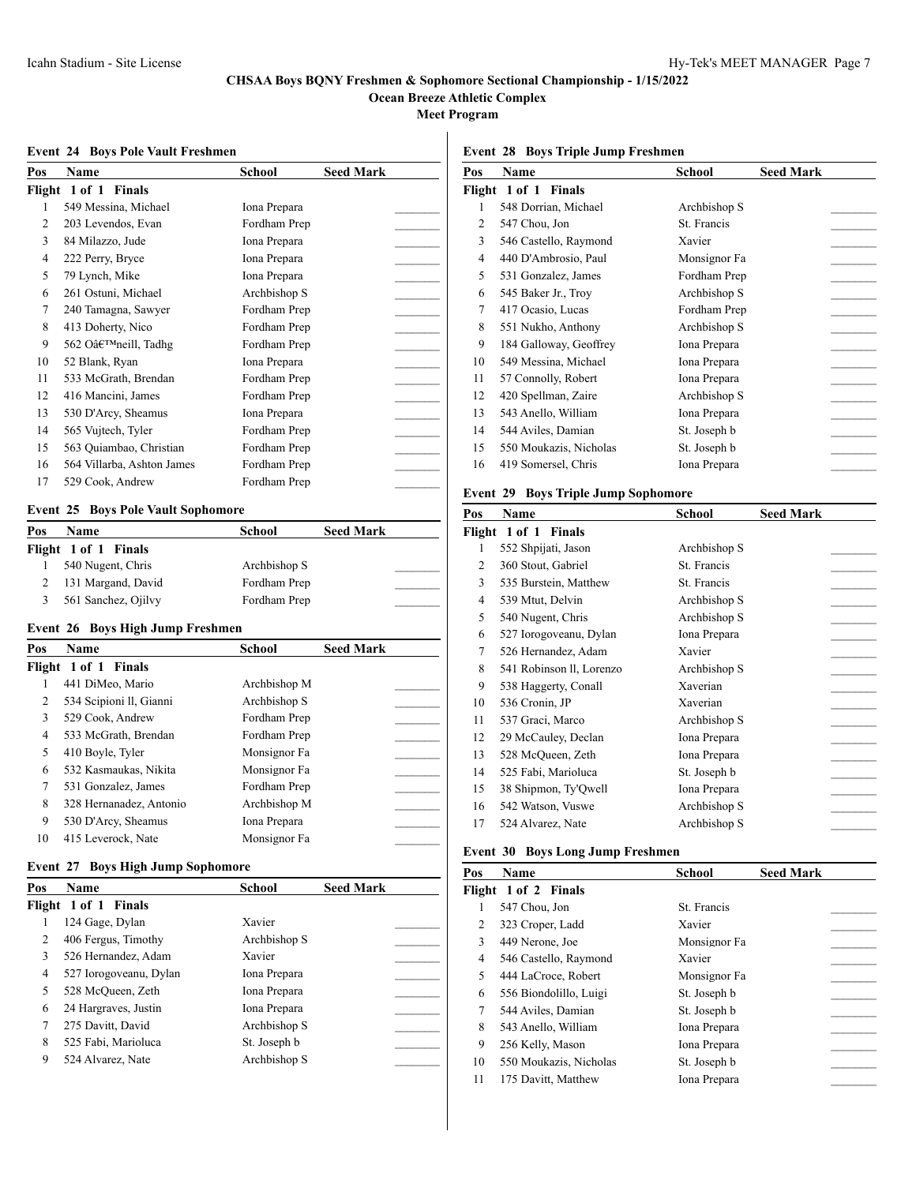**Ocean Breeze Athletic Complex**

**Meet Program**

#### **Event 24 Boys Pole Vault Freshmen**

| Pos    | Name                       | School       | <b>Seed Mark</b> |  |
|--------|----------------------------|--------------|------------------|--|
| Flight | 1 of 1 Finals              |              |                  |  |
| 1      | 549 Messina, Michael       | Iona Prepara |                  |  |
| 2      | 203 Levendos, Evan         | Fordham Prep |                  |  |
| 3      | 84 Milazzo, Jude           | Iona Prepara |                  |  |
| 4      | 222 Perry, Bryce           | Iona Prepara |                  |  |
| 5      | 79 Lynch, Mike             | Iona Prepara |                  |  |
| 6      | 261 Ostuni, Michael        | Archbishop S |                  |  |
| 7      | 240 Tamagna, Sawyer        | Fordham Prep |                  |  |
| 8      | 413 Doherty, Nico          | Fordham Prep |                  |  |
| 9      | 562 O'neill, Tadhg         | Fordham Prep |                  |  |
| 10     | 52 Blank, Ryan             | Iona Prepara |                  |  |
| 11     | 533 McGrath, Brendan       | Fordham Prep |                  |  |
| 12     | 416 Mancini, James         | Fordham Prep |                  |  |
| 13     | 530 D'Arcy, Sheamus        | Iona Prepara |                  |  |
| 14     | 565 Vujtech, Tyler         | Fordham Prep |                  |  |
| 15     | 563 Quiambao, Christian    | Fordham Prep |                  |  |
| 16     | 564 Villarba, Ashton James | Fordham Prep |                  |  |
| 17     | 529 Cook, Andrew           | Fordham Prep |                  |  |

### **Event 25 Boys Pole Vault Sophomore**

| Pos | <b>Name</b>          | School       | <b>Seed Mark</b> |  |
|-----|----------------------|--------------|------------------|--|
|     | Flight 1 of 1 Finals |              |                  |  |
|     | 540 Nugent, Chris    | Archbishop S |                  |  |
|     | 131 Margand, David   | Fordham Prep |                  |  |
|     | 561 Sanchez, Ojilvy  | Fordham Prep |                  |  |

#### **Event 26 Boys High Jump Freshmen**

| Pos            | Name                    | <b>School</b> | <b>Seed Mark</b> |  |
|----------------|-------------------------|---------------|------------------|--|
|                | Flight 1 of 1 Finals    |               |                  |  |
|                | 441 DiMeo, Mario        | Archbishop M  |                  |  |
| $\mathfrak{D}$ | 534 Scipioni II, Gianni | Archbishop S  |                  |  |
| 3              | 529 Cook, Andrew        | Fordham Prep  |                  |  |
| 4              | 533 McGrath, Brendan    | Fordham Prep  |                  |  |
| 5              | 410 Boyle, Tyler        | Monsignor Fa  |                  |  |
| 6              | 532 Kasmaukas, Nikita   | Monsignor Fa  |                  |  |
| 7              | 531 Gonzalez, James     | Fordham Prep  |                  |  |
| 8              | 328 Hernanadez, Antonio | Archbishop M  |                  |  |
| 9              | 530 D'Arcy, Sheamus     | Iona Prepara  |                  |  |
| 10             | 415 Leverock, Nate      | Monsignor Fa  |                  |  |

#### **Event 27 Boys High Jump Sophomore**

| Pos            | Name                   | School       | <b>Seed Mark</b> |  |
|----------------|------------------------|--------------|------------------|--|
| Flight         | 1 of 1 Finals          |              |                  |  |
|                | 124 Gage, Dylan        | Xavier       |                  |  |
| $\mathfrak{D}$ | 406 Fergus, Timothy    | Archbishop S |                  |  |
| 3              | 526 Hernandez, Adam    | Xavier       |                  |  |
| 4              | 527 Iorogoveanu, Dylan | Iona Prepara |                  |  |
|                | 528 McOueen, Zeth      | Iona Prepara |                  |  |
| 6              | 24 Hargraves, Justin   | Iona Prepara |                  |  |
|                | 275 Davitt, David      | Archbishop S |                  |  |
| 8              | 525 Fabi, Marioluca    | St. Joseph b |                  |  |
| 9              | 524 Alvarez, Nate      | Archbishop S |                  |  |

## **Event 28 Boys Triple Jump Freshmen**

| Pos    | Name                   | School       | <b>Seed Mark</b> |
|--------|------------------------|--------------|------------------|
| Flight | 1 of 1 Finals          |              |                  |
| 1      | 548 Dorrian, Michael   | Archbishop S |                  |
| 2      | 547 Chou, Jon          | St. Francis  |                  |
| 3      | 546 Castello, Raymond  | Xavier       |                  |
| 4      | 440 D'Ambrosio, Paul   | Monsignor Fa |                  |
| 5      | 531 Gonzalez, James    | Fordham Prep |                  |
| 6      | 545 Baker Jr., Troy    | Archbishop S |                  |
| 7      | 417 Ocasio, Lucas      | Fordham Prep |                  |
| 8      | 551 Nukho, Anthony     | Archbishop S |                  |
| 9      | 184 Galloway, Geoffrey | Iona Prepara |                  |
| 10     | 549 Messina, Michael   | Iona Prepara |                  |
| 11     | 57 Connolly, Robert    | Iona Prepara |                  |
| 12     | 420 Spellman, Zaire    | Archbishop S |                  |
| 13     | 543 Anello, William    | Iona Prepara |                  |
| 14     | 544 Aviles, Damian     | St. Joseph b |                  |
| 15     | 550 Moukazis, Nicholas | St. Joseph b |                  |
| 16     | 419 Somersel, Chris    | Iona Prepara |                  |
|        |                        |              |                  |

## **Event 29 Boys Triple Jump Sophomore**

| Pos | Name                     | School       | <b>Seed Mark</b> |  |
|-----|--------------------------|--------------|------------------|--|
|     | Flight 1 of 1 Finals     |              |                  |  |
| 1   | 552 Shpijati, Jason      | Archbishop S |                  |  |
| 2   | 360 Stout, Gabriel       | St. Francis  |                  |  |
| 3   | 535 Burstein, Matthew    | St. Francis  |                  |  |
| 4   | 539 Mtut, Delvin         | Archbishop S |                  |  |
| 5   | 540 Nugent, Chris        | Archbishop S |                  |  |
| 6   | 527 Iorogoveanu, Dylan   | Iona Prepara |                  |  |
| 7   | 526 Hernandez, Adam      | Xavier       |                  |  |
| 8   | 541 Robinson II, Lorenzo | Archbishop S |                  |  |
| 9   | 538 Haggerty, Conall     | Xaverian     |                  |  |
| 10  | 536 Cronin, JP           | Xaverian     |                  |  |
| 11  | 537 Graci, Marco         | Archbishop S |                  |  |
| 12  | 29 McCauley, Declan      | Iona Prepara |                  |  |
| 13  | 528 McQueen, Zeth        | Iona Prepara |                  |  |
| 14  | 525 Fabi, Marioluca      | St. Joseph b |                  |  |
| 15  | 38 Shipmon, Ty'Qwell     | Iona Prepara |                  |  |
| 16  | 542 Watson, Vuswe        | Archbishop S |                  |  |
| 17  | 524 Alvarez, Nate        | Archbishop S |                  |  |

## **Event 30 Boys Long Jump Freshmen**

| Pos | Name                   | School       | <b>Seed Mark</b> |  |
|-----|------------------------|--------------|------------------|--|
|     | Flight 1 of 2 Finals   |              |                  |  |
| 1   | 547 Chou, Jon          | St. Francis  |                  |  |
| 2   | 323 Croper, Ladd       | Xavier       |                  |  |
| 3   | 449 Nerone, Joe        | Monsignor Fa |                  |  |
| 4   | 546 Castello, Raymond  | Xavier       |                  |  |
| 5   | 444 LaCroce, Robert    | Monsignor Fa |                  |  |
| 6   | 556 Biondolillo, Luigi | St. Joseph b |                  |  |
| 7   | 544 Aviles, Damian     | St. Joseph b |                  |  |
| 8   | 543 Anello, William    | Iona Prepara |                  |  |
| 9   | 256 Kelly, Mason       | Iona Prepara |                  |  |
| 10  | 550 Moukazis, Nicholas | St. Joseph b |                  |  |
| 11  | 175 Davitt, Matthew    | Iona Prepara |                  |  |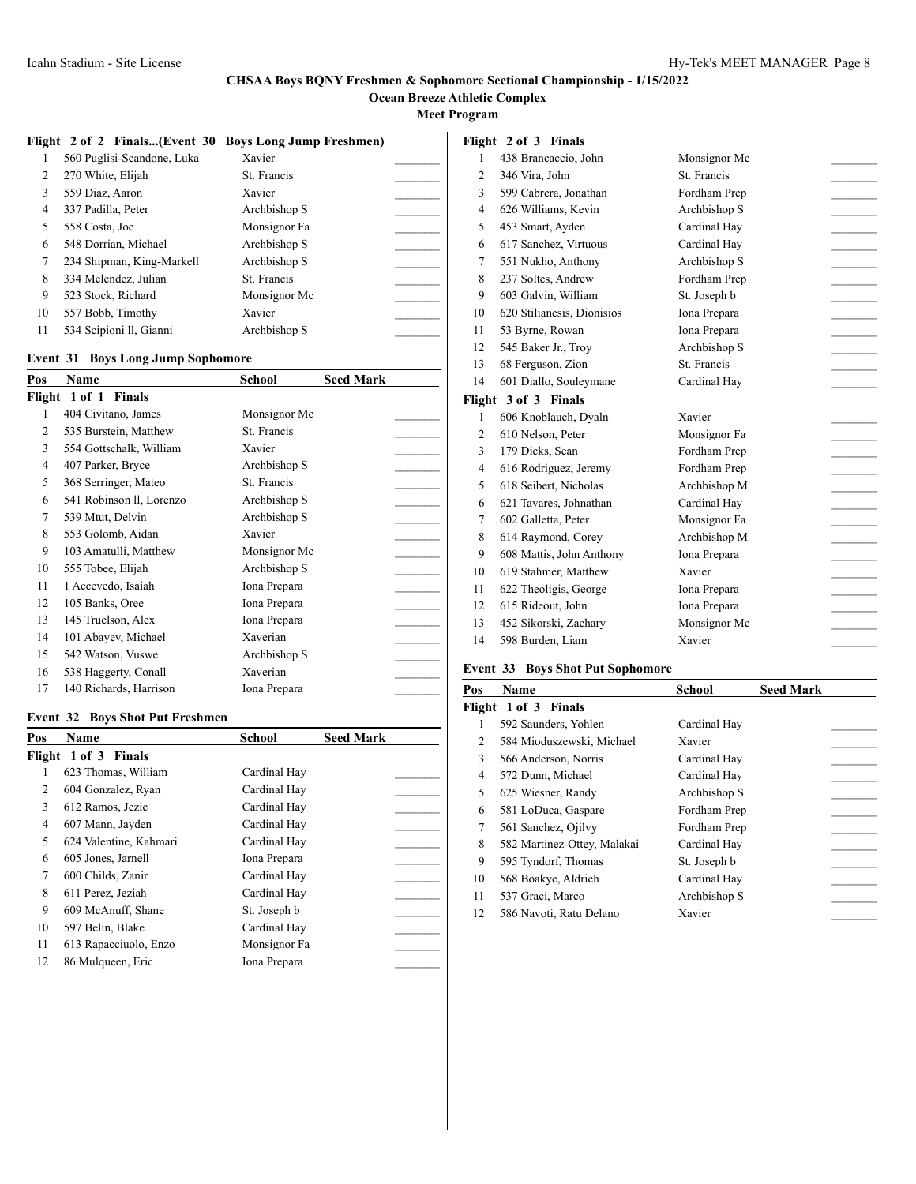### **CHSAA Boys BQNY Freshmen & Sophomore Sectional Championship - 1/15/2022 Ocean Breeze Athletic Complex**

**Meet Program**

|    |                            | Flight 2 of 2 Finals(Event 30 Boys Long Jump Freshmen) |  |
|----|----------------------------|--------------------------------------------------------|--|
|    | 560 Puglisi-Scandone, Luka | Xavier                                                 |  |
| 2  | 270 White, Elijah          | St. Francis                                            |  |
| 3  | 559 Diaz, Aaron            | Xavier                                                 |  |
| 4  | 337 Padilla, Peter         | Archbishop S                                           |  |
| 5  | 558 Costa, Joe             | Monsignor Fa                                           |  |
| 6  | 548 Dorrian, Michael       | Archbishop S                                           |  |
| 7  | 234 Shipman, King-Markell  | Archbishop S                                           |  |
| 8  | 334 Melendez, Julian       | St. Francis                                            |  |
| 9  | 523 Stock, Richard         | Monsignor Mc                                           |  |
| 10 | 557 Bobb, Timothy          | Xavier                                                 |  |
| 11 | 534 Scipioni II, Gianni    | Archbishop S                                           |  |

#### **Event 31 Boys Long Jump Sophomore**

| Pos            | Name                     | School       | <b>Seed Mark</b> |  |
|----------------|--------------------------|--------------|------------------|--|
|                | Flight 1 of 1<br>Finals  |              |                  |  |
| 1              | 404 Civitano, James      | Monsignor Mc |                  |  |
| 2              | 535 Burstein, Matthew    | St. Francis  |                  |  |
| 3              | 554 Gottschalk, William  | Xavier       |                  |  |
| $\overline{4}$ | 407 Parker, Bryce        | Archbishop S |                  |  |
| 5              | 368 Serringer, Mateo     | St. Francis  |                  |  |
| 6              | 541 Robinson II, Lorenzo | Archbishop S |                  |  |
| 7              | 539 Mtut, Delvin         | Archbishop S |                  |  |
| 8              | 553 Golomb, Aidan        | Xavier       |                  |  |
| 9              | 103 Amatulli, Matthew    | Monsignor Mc |                  |  |
| 10             | 555 Tobee, Elijah        | Archbishop S |                  |  |
| 11             | 1 Accevedo, Isaiah       | Iona Prepara |                  |  |
| 12             | 105 Banks, Oree          | Iona Prepara |                  |  |
| 13             | 145 Truelson, Alex       | Iona Prepara |                  |  |
| 14             | 101 Abayev, Michael      | Xaverian     |                  |  |
| 15             | 542 Watson, Vuswe        | Archbishop S |                  |  |
| 16             | 538 Haggerty, Conall     | Xaverian     |                  |  |
| 17             | 140 Richards, Harrison   | Iona Prepara |                  |  |

#### **Event 32 Boys Shot Put Freshmen**

| Pos    | <b>Name</b>            | School       | <b>Seed Mark</b> |  |
|--------|------------------------|--------------|------------------|--|
| Flight | 1 of 3 Finals          |              |                  |  |
|        | 623 Thomas, William    | Cardinal Hay |                  |  |
| 2      | 604 Gonzalez, Ryan     | Cardinal Hay |                  |  |
| 3      | 612 Ramos, Jezic       | Cardinal Hay |                  |  |
| 4      | 607 Mann, Jayden       | Cardinal Hay |                  |  |
| 5      | 624 Valentine, Kahmari | Cardinal Hay |                  |  |
| 6      | 605 Jones, Jarnell     | Iona Prepara |                  |  |
| 7      | 600 Childs, Zanir      | Cardinal Hay |                  |  |
| 8      | 611 Perez, Jeziah      | Cardinal Hay |                  |  |
| 9      | 609 McAnuff, Shane     | St. Joseph b |                  |  |
| 10     | 597 Belin, Blake       | Cardinal Hay |                  |  |
| 11     | 613 Rapacciuolo, Enzo  | Monsignor Fa |                  |  |
| 12     | 86 Mulqueen, Eric      | Iona Prepara |                  |  |
|        |                        |              |                  |  |

| Flight 2 of 3 Finals |  |  |
|----------------------|--|--|
|----------------------|--|--|

| 1              | 438 Brancaccio, John       | Monsignor Mc |  |
|----------------|----------------------------|--------------|--|
| $\overline{2}$ | 346 Vira, John             | St. Francis  |  |
| 3              | 599 Cabrera, Jonathan      | Fordham Prep |  |
| $\overline{4}$ | 626 Williams, Kevin        | Archbishop S |  |
| 5              | 453 Smart, Ayden           | Cardinal Hav |  |
| 6              | 617 Sanchez, Virtuous      | Cardinal Hay |  |
| 7              | 551 Nukho, Anthony         | Archbishop S |  |
| 8              | 237 Soltes, Andrew         | Fordham Prep |  |
| 9              | 603 Galvin, William        | St. Joseph b |  |
| 10             | 620 Stilianesis, Dionisios | Iona Prepara |  |
| 11             | 53 Byrne, Rowan            | Iona Prepara |  |
| 12             | 545 Baker Jr., Troy        | Archbishop S |  |
| 13             | 68 Ferguson, Zion          | St. Francis  |  |
| 14             | 601 Diallo, Souleymane     | Cardinal Hay |  |
| Flight         | 3 of 3 Finals              |              |  |
| 1              | 606 Knoblauch, Dyaln       | Xavier       |  |
| $\overline{2}$ | 610 Nelson, Peter          | Monsignor Fa |  |
| 3              | 179 Dicks, Sean            | Fordham Prep |  |
| 4              | 616 Rodriguez, Jeremy      | Fordham Prep |  |
| 5              | 618 Seibert, Nicholas      | Archbishop M |  |
| 6              | 621 Tavares, Johnathan     | Cardinal Hay |  |
| 7              | 602 Galletta, Peter        | Monsignor Fa |  |
| 8              | 614 Raymond, Corey         | Archbishop M |  |
| 9              | 608 Mattis, John Anthony   | Iona Prepara |  |
| 10             | 619 Stahmer, Matthew       | Xavier       |  |
| 11             | 622 Theoligis, George      | Iona Prepara |  |
| 12             | 615 Rideout, John          | Iona Prepara |  |
| 13             |                            |              |  |
|                | 452 Sikorski, Zachary      | Monsignor Mc |  |

## **Event 33 Boys Shot Put Sophomore**

| Pos | Name                        | School       | <b>Seed Mark</b> |
|-----|-----------------------------|--------------|------------------|
|     | Flight 1 of 3 Finals        |              |                  |
| 1   | 592 Saunders, Yohlen        | Cardinal Hav |                  |
| 2   | 584 Mioduszewski, Michael   | Xavier       |                  |
| 3   | 566 Anderson, Norris        | Cardinal Hav |                  |
| 4   | 572 Dunn, Michael           | Cardinal Hav |                  |
| 5   | 625 Wiesner, Randy          | Archbishop S |                  |
| 6   | 581 LoDuca, Gaspare         | Fordham Prep |                  |
| 7   | 561 Sanchez, Ojilvy         | Fordham Prep |                  |
| 8   | 582 Martinez-Ottey, Malakai | Cardinal Hav |                  |
| 9   | 595 Tyndorf, Thomas         | St. Joseph b |                  |
| 10  | 568 Boakye, Aldrich         | Cardinal Hav |                  |
| 11  | 537 Graci, Marco            | Archbishop S |                  |
| 12  | 586 Navoti, Ratu Delano     | Xavier       |                  |